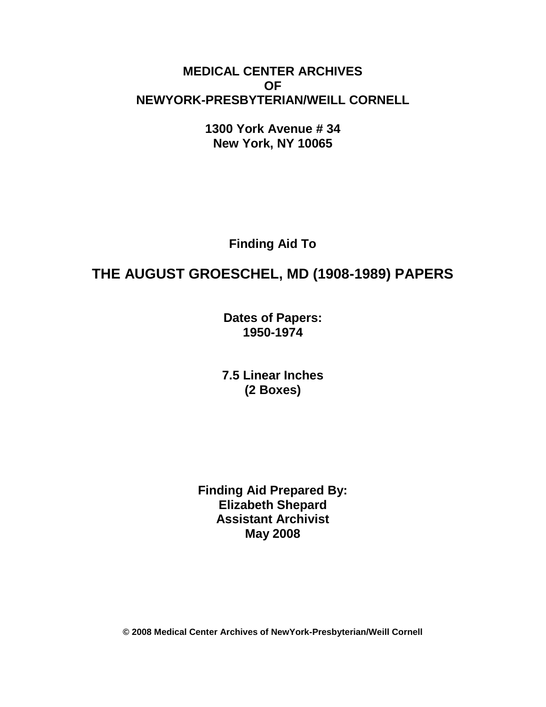# **MEDICAL CENTER ARCHIVES OF NEWYORK-PRESBYTERIAN/WEILL CORNELL**

**1300 York Avenue # 34 New York, NY 10065**

**Finding Aid To**

# **THE AUGUST GROESCHEL, MD (1908-1989) PAPERS**

**Dates of Papers: 1950-1974**

**7.5 Linear Inches (2 Boxes)**

**Finding Aid Prepared By: Elizabeth Shepard Assistant Archivist May 2008**

**© 2008 Medical Center Archives of NewYork-Presbyterian/Weill Cornell**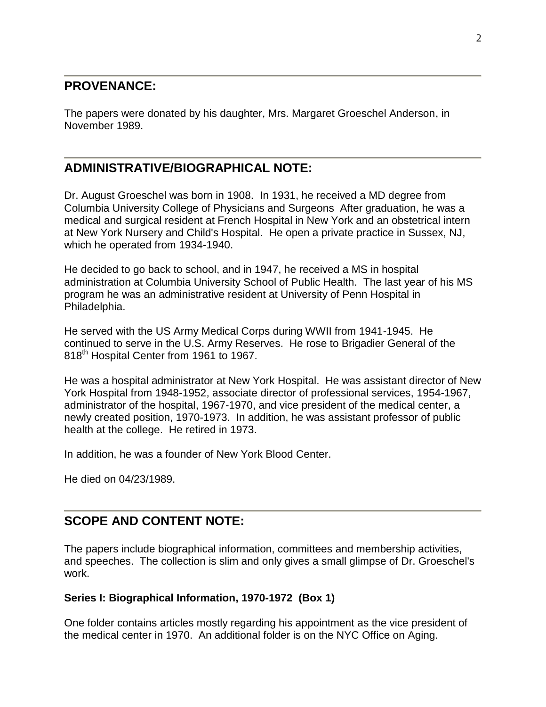### **PROVENANCE:**

The papers were donated by his daughter, Mrs. Margaret Groeschel Anderson, in November 1989.

## **ADMINISTRATIVE/BIOGRAPHICAL NOTE:**

Dr. August Groeschel was born in 1908. In 1931, he received a MD degree from Columbia University College of Physicians and Surgeons After graduation, he was a medical and surgical resident at French Hospital in New York and an obstetrical intern at New York Nursery and Child's Hospital. He open a private practice in Sussex, NJ, which he operated from 1934-1940.

He decided to go back to school, and in 1947, he received a MS in hospital administration at Columbia University School of Public Health. The last year of his MS program he was an administrative resident at University of Penn Hospital in Philadelphia.

He served with the US Army Medical Corps during WWII from 1941-1945. He continued to serve in the U.S. Army Reserves. He rose to Brigadier General of the 818<sup>th</sup> Hospital Center from 1961 to 1967.

He was a hospital administrator at New York Hospital. He was assistant director of New York Hospital from 1948-1952, associate director of professional services, 1954-1967, administrator of the hospital, 1967-1970, and vice president of the medical center, a newly created position, 1970-1973. In addition, he was assistant professor of public health at the college. He retired in 1973.

In addition, he was a founder of New York Blood Center.

He died on 04/23/1989.

# **SCOPE AND CONTENT NOTE:**

The papers include biographical information, committees and membership activities, and speeches. The collection is slim and only gives a small glimpse of Dr. Groeschel's work.

### **Series I: Biographical Information, 1970-1972 (Box 1)**

One folder contains articles mostly regarding his appointment as the vice president of the medical center in 1970. An additional folder is on the NYC Office on Aging.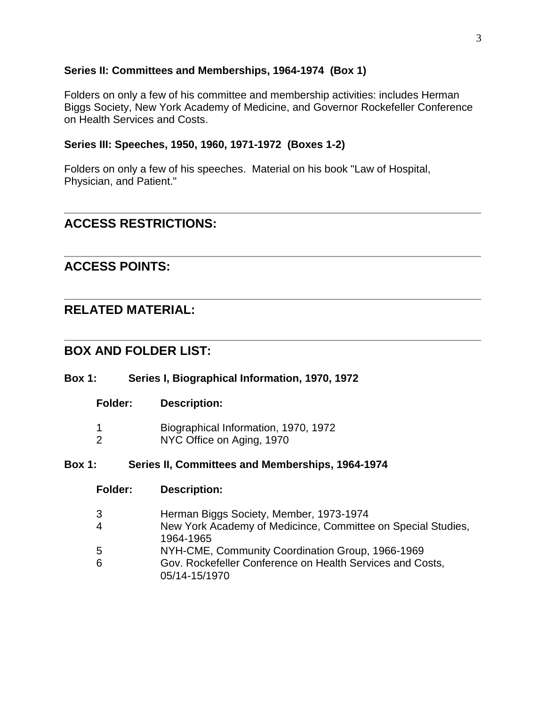#### **Series II: Committees and Memberships, 1964-1974 (Box 1)**

Folders on only a few of his committee and membership activities: includes Herman Biggs Society, New York Academy of Medicine, and Governor Rockefeller Conference on Health Services and Costs.

#### **Series III: Speeches, 1950, 1960, 1971-1972 (Boxes 1-2)**

Folders on only a few of his speeches. Material on his book "Law of Hospital, Physician, and Patient."

### **ACCESS RESTRICTIONS:**

### **ACCESS POINTS:**

### **RELATED MATERIAL:**

### **BOX AND FOLDER LIST:**

#### **Box 1: Series I, Biographical Information, 1970, 1972**

#### **Folder: Description:**

- 1 Biographical Information, 1970, 1972
- 2 NYC Office on Aging, 1970

#### **Box 1: Series II, Committees and Memberships, 1964-1974**

- **Folder: Description:**
- 3 Herman Biggs Society, Member, 1973-1974
- 4 New York Academy of Medicince, Committee on Special Studies, 1964-1965
- 5 NYH-CME, Community Coordination Group, 1966-1969
- 6 Gov. Rockefeller Conference on Health Services and Costs, 05/14-15/1970